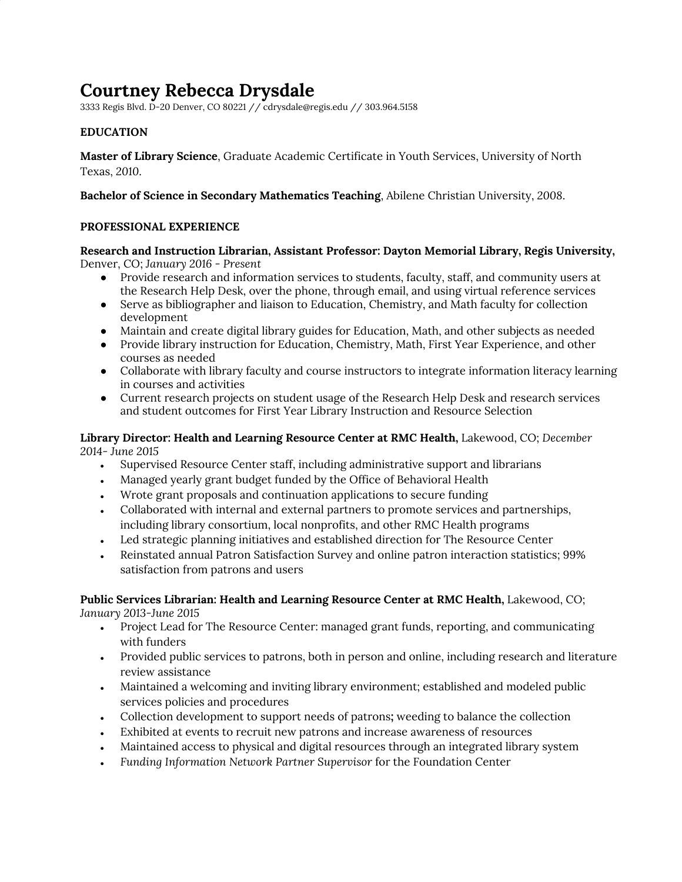# **Courtney Rebecca Drysdale**

3333 Regis Blvd. D-20 Denver, CO 80221 // cdrysdale@regis.edu // 303.964.5158

# **EDUCATION**

**Master of Library Science**, Graduate Academic Certificate in Youth Services, University of North Texas, *2010*.

**Bachelor of Science in Secondary Mathematics Teaching**, Abilene Christian University, *2008*.

### **PROFESSIONAL EXPERIENCE**

**Research and Instruction Librarian, Assistant Professor: Dayton Memorial Library, Regis University,** Denver, CO; *January 2016 - Present*

- Provide research and information services to students, faculty, staff, and community users at the Research Help Desk, over the phone, through email, and using virtual reference services
- Serve as bibliographer and liaison to Education, Chemistry, and Math faculty for collection development
- Maintain and create digital library guides for Education, Math, and other subjects as needed
- Provide library instruction for Education, Chemistry, Math, First Year Experience, and other courses as needed
- Collaborate with library faculty and course instructors to integrate information literacy learning in courses and activities
- Current research projects on student usage of the Research Help Desk and research services and student outcomes for First Year Library Instruction and Resource Selection

#### **Library Director: Health and Learning Resource Center at RMC Health,** Lakewood, CO; *December 2014- June 2015*

- Supervised Resource Center staff, including administrative support and librarians
- Managed yearly grant budget funded by the Office of Behavioral Health
- Wrote grant proposals and continuation applications to secure funding
- Collaborated with internal and external partners to promote services and partnerships, including library consortium, local nonprofits, and other RMC Health programs
- Led strategic planning initiatives and established direction for The Resource Center
- Reinstated annual Patron Satisfaction Survey and online patron interaction statistics; 99% satisfaction from patrons and users

#### **Public Services Librarian: Health and Learning Resource Center at RMC Health,** Lakewood, CO; *January 2013-June 2015*

- Project Lead for The Resource Center: managed grant funds, reporting, and communicating with funders
- Provided public services to patrons, both in person and online, including research and literature review assistance
- Maintained a welcoming and inviting library environment; established and modeled public services policies and procedures
- Collection development to support needs of patrons**;** weeding to balance the collection
- Exhibited at events to recruit new patrons and increase awareness of resources
- Maintained access to physical and digital resources through an integrated library system
- *Funding Information Network Partner Supervisor* for the Foundation Center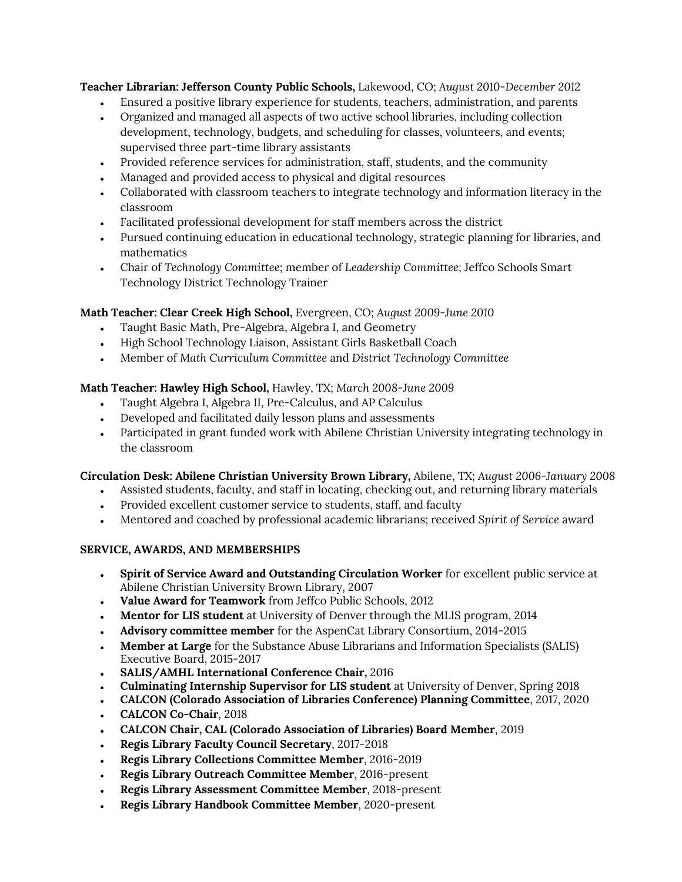**Teacher Librarian: Jefferson County Public Schools,** Lakewood, CO; *August 2010-December 2012*

- Ensured a positive library experience for students, teachers, administration, and parents
- Organized and managed all aspects of two active school libraries, including collection development, technology, budgets, and scheduling for classes, volunteers, and events; supervised three part-time library assistants
- Provided reference services for administration, staff, students, and the community
- Managed and provided access to physical and digital resources
- Collaborated with classroom teachers to integrate technology and information literacy in the classroom
- Facilitated professional development for staff members across the district
- Pursued continuing education in educational technology, strategic planning for libraries, and mathematics
- Chair of *Technology Committee*; member of *Leadership Committee*; Jeffco Schools Smart Technology District Technology Trainer

# **Math Teacher: Clear Creek High School,** Evergreen, CO; *August 2009-June 2010*

- Taught Basic Math, Pre-Algebra, Algebra I, and Geometry
- High School Technology Liaison, Assistant Girls Basketball Coach
- Member of *Math Curriculum Committee* and *District Technology Committee*

# **Math Teacher: Hawley High School,** Hawley, TX; *March 2008-June 2009*

- Taught Algebra I, Algebra II, Pre-Calculus, and AP Calculus
- Developed and facilitated daily lesson plans and assessments
- Participated in grant funded work with Abilene Christian University integrating technology in the classroom

# **Circulation Desk: Abilene Christian University Brown Library,** Abilene, TX; *August 2006-January 2008*

- Assisted students, faculty, and staff in locating, checking out, and returning library materials
- Provided excellent customer service to students, staff, and faculty
- Mentored and coached by professional academic librarians; received *Spirit of Service* award

# **SERVICE, AWARDS, AND MEMBERSHIPS**

- **Spirit of Service Award and Outstanding Circulation Worker** for excellent public service at Abilene Christian University Brown Library, 2007
- **Value Award for Teamwork** from Jeffco Public Schools, 2012
- **Mentor for LIS student** at University of Denver through the MLIS program, 2014
- **Advisory committee member** for the AspenCat Library Consortium, 2014-2015
- **Member at Large** for the Substance Abuse Librarians and Information Specialists (SALIS) Executive Board, 2015-2017
- **SALIS/AMHL International Conference Chair,** 2016
- **Culminating Internship Supervisor for LIS student** at University of Denver, Spring 2018
- **CALCON (Colorado Association of Libraries Conference) Planning Committee**, 2017, 2020
- **CALCON Co-Chair**, 2018
- **CALCON Chair, CAL (Colorado Association of Libraries) Board Member**, 2019
- **Regis Library Faculty Council Secretary**, 2017-2018
- **Regis Library Collections Committee Member**, 2016-2019
- **Regis Library Outreach Committee Member**, 2016-present
- **Regis Library Assessment Committee Member**, 2018-present
- **Regis Library Handbook Committee Member**, 2020-present